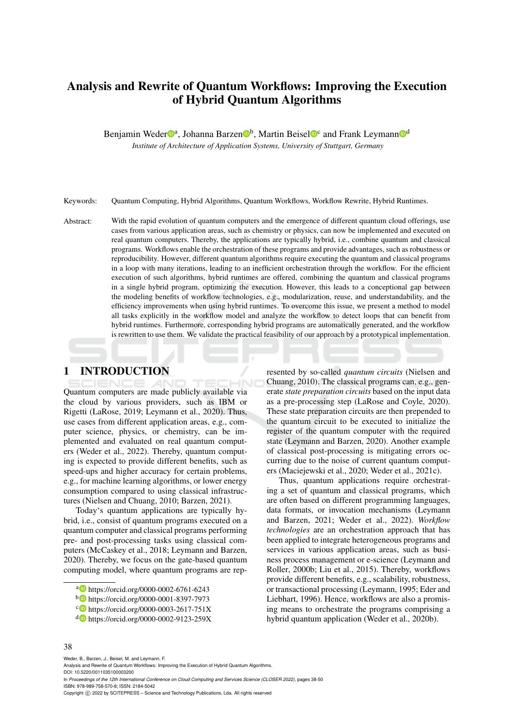# Analysis and Rewrite of Quantum Workflows: Improving the Execution of Hybrid Quantum Algorithms

Benjamin Weder<sup>na</sup>, Johanna Barzen<sup>n</sup>, Martin Beisel<sup>n</sup><sup>c</sup> and Frank Leymann<sup>n</sup>

*Institute of Architecture of Application Systems, University of Stuttgart, Germany*

Keywords: Quantum Computing, Hybrid Algorithms, Quantum Workflows, Workflow Rewrite, Hybrid Runtimes.

Abstract: With the rapid evolution of quantum computers and the emergence of different quantum cloud offerings, use cases from various application areas, such as chemistry or physics, can now be implemented and executed on real quantum computers. Thereby, the applications are typically hybrid, i.e., combine quantum and classical programs. Workflows enable the orchestration of these programs and provide advantages, such as robustness or reproducibility. However, different quantum algorithms require executing the quantum and classical programs in a loop with many iterations, leading to an inefficient orchestration through the workflow. For the efficient execution of such algorithms, hybrid runtimes are offered, combining the quantum and classical programs in a single hybrid program, optimizing the execution. However, this leads to a conceptional gap between the modeling benefits of workflow technologies, e.g., modularization, reuse, and understandability, and the efficiency improvements when using hybrid runtimes. To overcome this issue, we present a method to model all tasks explicitly in the workflow model and analyze the workflow to detect loops that can benefit from hybrid runtimes. Furthermore, corresponding hybrid programs are automatically generated, and the workflow is rewritten to use them. We validate the practical feasibility of our approach by a prototypical implementation.

# 1 INTRODUCTION

Quantum computers are made publicly available via the cloud by various providers, such as IBM or Rigetti (LaRose, 2019; Leymann et al., 2020). Thus, use cases from different application areas, e.g., computer science, physics, or chemistry, can be implemented and evaluated on real quantum computers (Weder et al., 2022). Thereby, quantum computing is expected to provide different benefits, such as speed-ups and higher accuracy for certain problems, e.g., for machine learning algorithms, or lower energy consumption compared to using classical infrastructures (Nielsen and Chuang, 2010; Barzen, 2021).

Today's quantum applications are typically hybrid, i.e., consist of quantum programs executed on a quantum computer and classical programs performing pre- and post-processing tasks using classical computers (McCaskey et al., 2018; Leymann and Barzen, 2020). Thereby, we focus on the gate-based quantum computing model, where quantum programs are represented by so-called *quantum circuits* (Nielsen and Chuang, 2010). The classical programs can, e.g., generate *state preparation circuits* based on the input data as a pre-processing step (LaRose and Coyle, 2020). These state preparation circuits are then prepended to the quantum circuit to be executed to initialize the register of the quantum computer with the required state (Leymann and Barzen, 2020). Another example of classical post-processing is mitigating errors occurring due to the noise of current quantum computers (Maciejewski et al., 2020; Weder et al., 2021c).

Thus, quantum applications require orchestrating a set of quantum and classical programs, which are often based on different programming languages, data formats, or invocation mechanisms (Leymann and Barzen, 2021; Weder et al., 2022). *Workflow technologies* are an orchestration approach that has been applied to integrate heterogeneous programs and services in various application areas, such as business process management or e-science (Leymann and Roller, 2000b; Liu et al., 2015). Thereby, workflows provide different benefits, e.g., scalability, robustness, or transactional processing (Leymann, 1995; Eder and Liebhart, 1996). Hence, workflows are also a promising means to orchestrate the programs comprising a hybrid quantum application (Weder et al., 2020b).

Weder, B., Barzen, J., Beisel, M. and Leymann, F.

<sup>a</sup> https://orcid.org/0000-0002-6761-6243

<sup>b</sup> https://orcid.org/0000-0001-8397-7973

c https://orcid.org/0000-0003-2617-751X

<sup>d</sup> https://orcid.org/0000-0002-9123-259X

Analysis and Rewrite of Quantum Workflows: Improving the Execution of Hybrid Quantum Algorithms. DOI: 10.5220/0011035100003200

In *Proceedings of the 12th International Conference on Cloud Computing and Services Science (CLOSER 2022)*, pages 38-50 ISBN: 978-989-758-570-8; ISSN: 2184-5042

Copyright (C) 2022 by SCITEPRESS - Science and Technology Publications, Lda. All rights reserved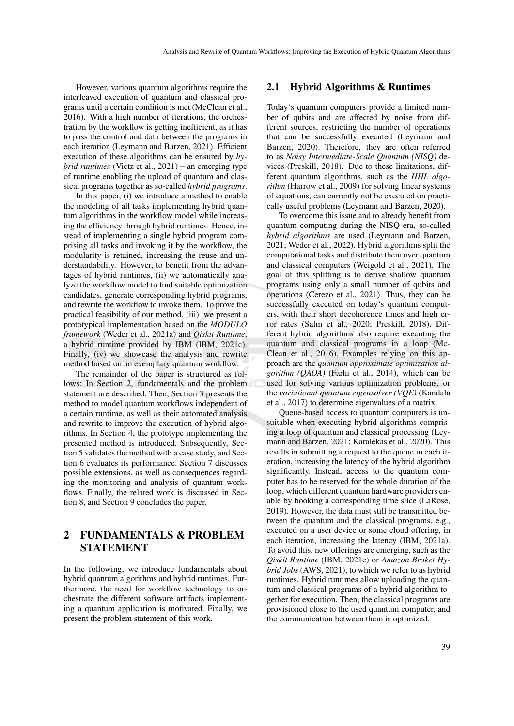However, various quantum algorithms require the interleaved execution of quantum and classical programs until a certain condition is met (McClean et al., 2016). With a high number of iterations, the orchestration by the workflow is getting inefficient, as it has to pass the control and data between the programs in each iteration (Leymann and Barzen, 2021). Efficient execution of these algorithms can be ensured by *hybrid runtimes* (Vietz et al., 2021) – an emerging type of runtime enabling the upload of quantum and classical programs together as so-called *hybrid programs*.

In this paper, (i) we introduce a method to enable the modeling of all tasks implementing hybrid quantum algorithms in the workflow model while increasing the efficiency through hybrid runtimes. Hence, instead of implementing a single hybrid program comprising all tasks and invoking it by the workflow, the modularity is retained, increasing the reuse and understandability. However, to benefit from the advantages of hybrid runtimes, (ii) we automatically analyze the workflow model to find suitable optimization candidates, generate corresponding hybrid programs, and rewrite the workflow to invoke them. To prove the practical feasibility of our method, (iii) we present a prototypical implementation based on the *MODULO framework* (Weder et al., 2021a) and *Qiskit Runtime*, a hybrid runtime provided by IBM (IBM, 2021c). Finally, (iv) we showcase the analysis and rewrite method based on an exemplary quantum workflow.

The remainder of the paper is structured as follows: In Section 2, fundamentals and the problem statement are described. Then, Section 3 presents the method to model quantum workflows independent of a certain runtime, as well as their automated analysis and rewrite to improve the execution of hybrid algorithms. In Section 4, the prototype implementing the presented method is introduced. Subsequently, Section 5 validates the method with a case study, and Section 6 evaluates its performance. Section 7 discusses possible extensions, as well as consequences regarding the monitoring and analysis of quantum workflows. Finally, the related work is discussed in Section 8, and Section 9 concludes the paper.

# 2 FUNDAMENTALS & PROBLEM STATEMENT

In the following, we introduce fundamentals about hybrid quantum algorithms and hybrid runtimes. Furthermore, the need for workflow technology to orchestrate the different software artifacts implementing a quantum application is motivated. Finally, we present the problem statement of this work.

#### 2.1 Hybrid Algorithms & Runtimes

Today's quantum computers provide a limited number of qubits and are affected by noise from different sources, restricting the number of operations that can be successfully executed (Leymann and Barzen, 2020). Therefore, they are often referred to as *Noisy Intermediate-Scale Quantum (NISQ)* devices (Preskill, 2018). Due to these limitations, different quantum algorithms, such as the *HHL algorithm* (Harrow et al., 2009) for solving linear systems of equations, can currently not be executed on practically useful problems (Leymann and Barzen, 2020).

To overcome this issue and to already benefit from quantum computing during the NISQ era, so-called *hybrid algorithms* are used (Leymann and Barzen, 2021; Weder et al., 2022). Hybrid algorithms split the computational tasks and distribute them over quantum and classical computers (Weigold et al., 2021). The goal of this splitting is to derive shallow quantum programs using only a small number of qubits and operations (Cerezo et al., 2021). Thus, they can be successfully executed on today's quantum computers, with their short decoherence times and high error rates (Salm et al., 2020; Preskill, 2018). Different hybrid algorithms also require executing the quantum and classical programs in a loop (Mc-Clean et al., 2016). Examples relying on this approach are the *quantum approximate optimization algorithm (QAOA)* (Farhi et al., 2014), which can be used for solving various optimization problems, or the *variational quantum eigensolver (VQE)* (Kandala et al., 2017) to determine eigenvalues of a matrix.

Queue-based access to quantum computers is unsuitable when executing hybrid algorithms comprising a loop of quantum and classical processing (Leymann and Barzen, 2021; Karalekas et al., 2020). This results in submitting a request to the queue in each iteration, increasing the latency of the hybrid algorithm significantly. Instead, access to the quantum computer has to be reserved for the whole duration of the loop, which different quantum hardware providers enable by booking a corresponding time slice (LaRose, 2019). However, the data must still be transmitted between the quantum and the classical programs, e.g., executed on a user device or some cloud offering, in each iteration, increasing the latency (IBM, 2021a). To avoid this, new offerings are emerging, such as the *Qiskit Runtime* (IBM, 2021c) or *Amazon Braket Hybrid Jobs* (AWS, 2021), to which we refer to as hybrid runtimes. Hybrid runtimes allow uploading the quantum and classical programs of a hybrid algorithm together for execution. Then, the classical programs are provisioned close to the used quantum computer, and the communication between them is optimized.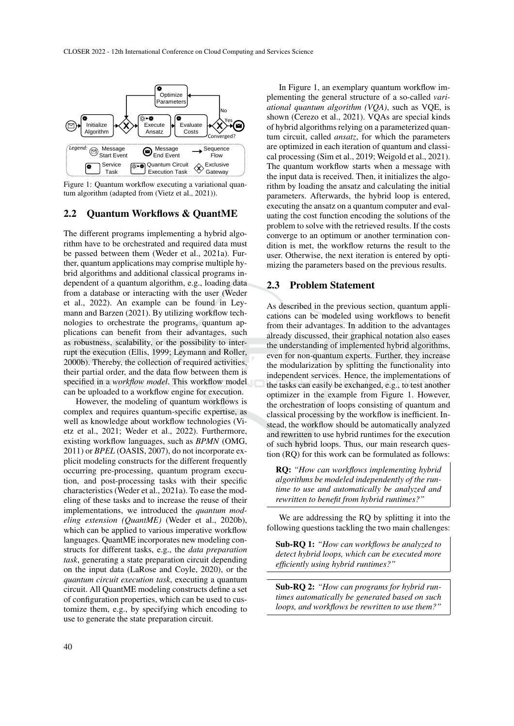

Figure 1: Quantum workflow executing a variational quantum algorithm (adapted from (Vietz et al., 2021)).

### 2.2 Quantum Workflows & QuantME

The different programs implementing a hybrid algorithm have to be orchestrated and required data must be passed between them (Weder et al., 2021a). Further, quantum applications may comprise multiple hybrid algorithms and additional classical programs independent of a quantum algorithm, e.g., loading data from a database or interacting with the user (Weder et al., 2022). An example can be found in Leymann and Barzen (2021). By utilizing workflow technologies to orchestrate the programs, quantum applications can benefit from their advantages, such as robustness, scalability, or the possibility to interrupt the execution (Ellis, 1999; Leymann and Roller, 2000b). Thereby, the collection of required activities, their partial order, and the data flow between them is specified in a *workflow model*. This workflow model can be uploaded to a workflow engine for execution.

However, the modeling of quantum workflows is complex and requires quantum-specific expertise, as well as knowledge about workflow technologies (Vietz et al., 2021; Weder et al., 2022). Furthermore, existing workflow languages, such as *BPMN* (OMG, 2011) or *BPEL* (OASIS, 2007), do not incorporate explicit modeling constructs for the different frequently occurring pre-processing, quantum program execution, and post-processing tasks with their specific characteristics (Weder et al., 2021a). To ease the modeling of these tasks and to increase the reuse of their implementations, we introduced the *quantum modeling extension (QuantME)* (Weder et al., 2020b), which can be applied to various imperative workflow languages. QuantME incorporates new modeling constructs for different tasks, e.g., the *data preparation task*, generating a state preparation circuit depending on the input data (LaRose and Coyle, 2020), or the *quantum circuit execution task*, executing a quantum circuit. All QuantME modeling constructs define a set of configuration properties, which can be used to customize them, e.g., by specifying which encoding to use to generate the state preparation circuit.

In Figure 1, an exemplary quantum workflow implementing the general structure of a so-called *variational quantum algorithm (VQA)*, such as VQE, is shown (Cerezo et al., 2021). VQAs are special kinds of hybrid algorithms relying on a parameterized quantum circuit, called *ansatz*, for which the parameters are optimized in each iteration of quantum and classical processing (Sim et al., 2019; Weigold et al., 2021). The quantum workflow starts when a message with the input data is received. Then, it initializes the algorithm by loading the ansatz and calculating the initial parameters. Afterwards, the hybrid loop is entered, executing the ansatz on a quantum computer and evaluating the cost function encoding the solutions of the problem to solve with the retrieved results. If the costs converge to an optimum or another termination condition is met, the workflow returns the result to the user. Otherwise, the next iteration is entered by optimizing the parameters based on the previous results.

## 2.3 Problem Statement

As described in the previous section, quantum applications can be modeled using workflows to benefit from their advantages. In addition to the advantages already discussed, their graphical notation also eases the understanding of implemented hybrid algorithms, even for non-quantum experts. Further, they increase the modularization by splitting the functionality into independent services. Hence, the implementations of the tasks can easily be exchanged, e.g., to test another optimizer in the example from Figure 1. However, the orchestration of loops consisting of quantum and classical processing by the workflow is inefficient. Instead, the workflow should be automatically analyzed and rewritten to use hybrid runtimes for the execution of such hybrid loops. Thus, our main research question (RQ) for this work can be formulated as follows:

RQ: *"How can workflows implementing hybrid algorithms be modeled independently of the runtime to use and automatically be analyzed and rewritten to benefit from hybrid runtimes?"*

We are addressing the RO by splitting it into the following questions tackling the two main challenges:

Sub-RQ 1: *"How can workflows be analyzed to detect hybrid loops, which can be executed more efficiently using hybrid runtimes?"*

Sub-RQ 2: *"How can programs for hybrid runtimes automatically be generated based on such loops, and workflows be rewritten to use them?"*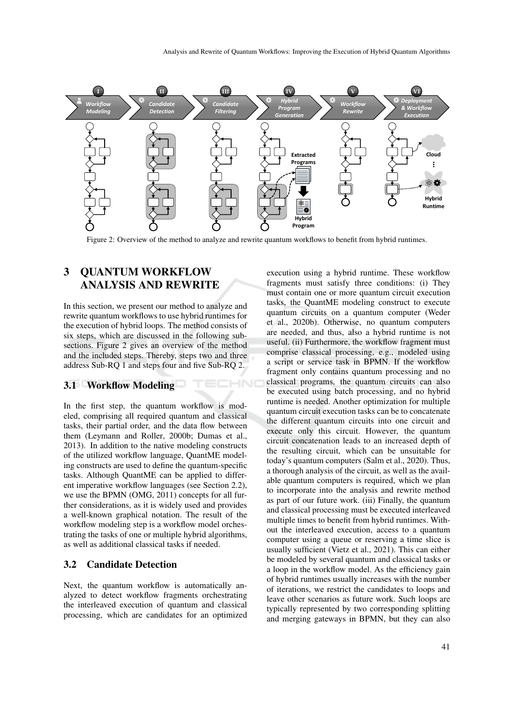

Figure 2: Overview of the method to analyze and rewrite quantum workflows to benefit from hybrid runtimes.

HNC

# 3 QUANTUM WORKFLOW ANALYSIS AND REWRITE

In this section, we present our method to analyze and rewrite quantum workflows to use hybrid runtimes for the execution of hybrid loops. The method consists of six steps, which are discussed in the following subsections. Figure 2 gives an overview of the method and the included steps. Thereby, steps two and three address Sub-RQ 1 and steps four and five Sub-RQ 2.

### 3.1 Workflow Modeling

In the first step, the quantum workflow is modeled, comprising all required quantum and classical tasks, their partial order, and the data flow between them (Leymann and Roller, 2000b; Dumas et al., 2013). In addition to the native modeling constructs of the utilized workflow language, QuantME modeling constructs are used to define the quantum-specific tasks. Although QuantME can be applied to different imperative workflow languages (see Section 2.2), we use the BPMN (OMG, 2011) concepts for all further considerations, as it is widely used and provides a well-known graphical notation. The result of the workflow modeling step is a workflow model orchestrating the tasks of one or multiple hybrid algorithms, as well as additional classical tasks if needed.

# 3.2 Candidate Detection

Next, the quantum workflow is automatically analyzed to detect workflow fragments orchestrating the interleaved execution of quantum and classical processing, which are candidates for an optimized execution using a hybrid runtime. These workflow fragments must satisfy three conditions: (i) They must contain one or more quantum circuit execution tasks, the QuantME modeling construct to execute quantum circuits on a quantum computer (Weder et al., 2020b). Otherwise, no quantum computers are needed, and thus, also a hybrid runtime is not useful. (ii) Furthermore, the workflow fragment must comprise classical processing, e.g., modeled using a script or service task in BPMN. If the workflow fragment only contains quantum processing and no classical programs, the quantum circuits can also be executed using batch processing, and no hybrid runtime is needed. Another optimization for multiple quantum circuit execution tasks can be to concatenate the different quantum circuits into one circuit and execute only this circuit. However, the quantum circuit concatenation leads to an increased depth of the resulting circuit, which can be unsuitable for today's quantum computers (Salm et al., 2020). Thus, a thorough analysis of the circuit, as well as the available quantum computers is required, which we plan to incorporate into the analysis and rewrite method as part of our future work. (iii) Finally, the quantum and classical processing must be executed interleaved multiple times to benefit from hybrid runtimes. Without the interleaved execution, access to a quantum computer using a queue or reserving a time slice is usually sufficient (Vietz et al., 2021). This can either be modeled by several quantum and classical tasks or a loop in the workflow model. As the efficiency gain of hybrid runtimes usually increases with the number of iterations, we restrict the candidates to loops and leave other scenarios as future work. Such loops are typically represented by two corresponding splitting and merging gateways in BPMN, but they can also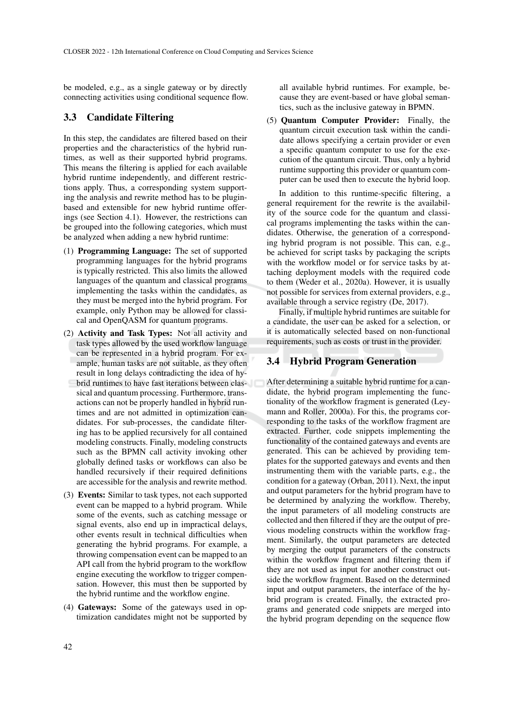be modeled, e.g., as a single gateway or by directly connecting activities using conditional sequence flow.

## 3.3 Candidate Filtering

In this step, the candidates are filtered based on their properties and the characteristics of the hybrid runtimes, as well as their supported hybrid programs. This means the filtering is applied for each available hybrid runtime independently, and different restrictions apply. Thus, a corresponding system supporting the analysis and rewrite method has to be pluginbased and extensible for new hybrid runtime offerings (see Section 4.1). However, the restrictions can be grouped into the following categories, which must be analyzed when adding a new hybrid runtime:

- (1) Programming Language: The set of supported programming languages for the hybrid programs is typically restricted. This also limits the allowed languages of the quantum and classical programs implementing the tasks within the candidates, as they must be merged into the hybrid program. For example, only Python may be allowed for classical and OpenQASM for quantum programs.
- (2) Activity and Task Types: Not all activity and task types allowed by the used workflow language can be represented in a hybrid program. For example, human tasks are not suitable, as they often result in long delays contradicting the idea of hybrid runtimes to have fast iterations between classical and quantum processing. Furthermore, transactions can not be properly handled in hybrid runtimes and are not admitted in optimization candidates. For sub-processes, the candidate filtering has to be applied recursively for all contained modeling constructs. Finally, modeling constructs such as the BPMN call activity invoking other globally defined tasks or workflows can also be handled recursively if their required definitions are accessible for the analysis and rewrite method.
- (3) Events: Similar to task types, not each supported event can be mapped to a hybrid program. While some of the events, such as catching message or signal events, also end up in impractical delays, other events result in technical difficulties when generating the hybrid programs. For example, a throwing compensation event can be mapped to an API call from the hybrid program to the workflow engine executing the workflow to trigger compensation. However, this must then be supported by the hybrid runtime and the workflow engine.
- (4) Gateways: Some of the gateways used in optimization candidates might not be supported by

all available hybrid runtimes. For example, because they are event-based or have global semantics, such as the inclusive gateway in BPMN.

(5) Quantum Computer Provider: Finally, the quantum circuit execution task within the candidate allows specifying a certain provider or even a specific quantum computer to use for the execution of the quantum circuit. Thus, only a hybrid runtime supporting this provider or quantum computer can be used then to execute the hybrid loop.

In addition to this runtime-specific filtering, a general requirement for the rewrite is the availability of the source code for the quantum and classical programs implementing the tasks within the candidates. Otherwise, the generation of a corresponding hybrid program is not possible. This can, e.g., be achieved for script tasks by packaging the scripts with the workflow model or for service tasks by attaching deployment models with the required code to them (Weder et al., 2020a). However, it is usually not possible for services from external providers, e.g., available through a service registry (De, 2017).

Finally, if multiple hybrid runtimes are suitable for a candidate, the user can be asked for a selection, or it is automatically selected based on non-functional requirements, such as costs or trust in the provider.

# 3.4 Hybrid Program Generation

After determining a suitable hybrid runtime for a candidate, the hybrid program implementing the functionality of the workflow fragment is generated (Leymann and Roller, 2000a). For this, the programs corresponding to the tasks of the workflow fragment are extracted. Further, code snippets implementing the functionality of the contained gateways and events are generated. This can be achieved by providing templates for the supported gateways and events and then instrumenting them with the variable parts, e.g., the condition for a gateway (Orban, 2011). Next, the input and output parameters for the hybrid program have to be determined by analyzing the workflow. Thereby, the input parameters of all modeling constructs are collected and then filtered if they are the output of previous modeling constructs within the workflow fragment. Similarly, the output parameters are detected by merging the output parameters of the constructs within the workflow fragment and filtering them if they are not used as input for another construct outside the workflow fragment. Based on the determined input and output parameters, the interface of the hybrid program is created. Finally, the extracted programs and generated code snippets are merged into the hybrid program depending on the sequence flow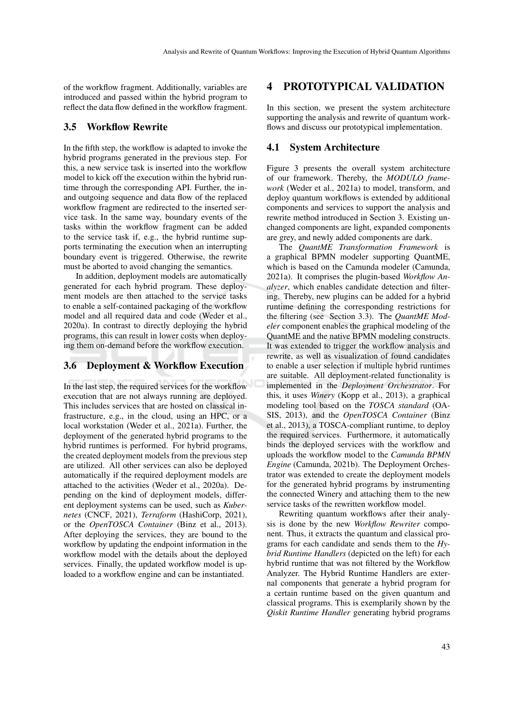of the workflow fragment. Additionally, variables are introduced and passed within the hybrid program to reflect the data flow defined in the workflow fragment.

#### 3.5 Workflow Rewrite

In the fifth step, the workflow is adapted to invoke the hybrid programs generated in the previous step. For this, a new service task is inserted into the workflow model to kick off the execution within the hybrid runtime through the corresponding API. Further, the inand outgoing sequence and data flow of the replaced workflow fragment are redirected to the inserted service task. In the same way, boundary events of the tasks within the workflow fragment can be added to the service task if, e.g., the hybrid runtime supports terminating the execution when an interrupting boundary event is triggered. Otherwise, the rewrite must be aborted to avoid changing the semantics.

In addition, deployment models are automatically generated for each hybrid program. These deployment models are then attached to the service tasks to enable a self-contained packaging of the workflow model and all required data and code (Weder et al., 2020a). In contrast to directly deploying the hybrid programs, this can result in lower costs when deploying them on-demand before the workflow execution.

### 3.6 Deployment & Workflow Execution

In the last step, the required services for the workflow execution that are not always running are deployed. This includes services that are hosted on classical infrastructure, e.g., in the cloud, using an HPC, or a local workstation (Weder et al., 2021a). Further, the deployment of the generated hybrid programs to the hybrid runtimes is performed. For hybrid programs, the created deployment models from the previous step are utilized. All other services can also be deployed automatically if the required deployment models are attached to the activities (Weder et al., 2020a). Depending on the kind of deployment models, different deployment systems can be used, such as *Kubernetes* (CNCF, 2021), *Terraform* (HashiCorp, 2021), or the *OpenTOSCA Container* (Binz et al., 2013). After deploying the services, they are bound to the workflow by updating the endpoint information in the workflow model with the details about the deployed services. Finally, the updated workflow model is uploaded to a workflow engine and can be instantiated.

## 4 PROTOTYPICAL VALIDATION

In this section, we present the system architecture supporting the analysis and rewrite of quantum workflows and discuss our prototypical implementation.

#### 4.1 System Architecture

Figure 3 presents the overall system architecture of our framework. Thereby, the *MODULO framework* (Weder et al., 2021a) to model, transform, and deploy quantum workflows is extended by additional components and services to support the analysis and rewrite method introduced in Section 3. Existing unchanged components are light, expanded components are grey, and newly added components are dark.

The *QuantME Transformation Framework* is a graphical BPMN modeler supporting QuantME, which is based on the Camunda modeler (Camunda, 2021a). It comprises the plugin-based *Workflow Analyzer*, which enables candidate detection and filtering. Thereby, new plugins can be added for a hybrid runtime defining the corresponding restrictions for the filtering (see Section 3.3). The *QuantME Modeler* component enables the graphical modeling of the QuantME and the native BPMN modeling constructs. It was extended to trigger the workflow analysis and rewrite, as well as visualization of found candidates to enable a user selection if multiple hybrid runtimes are suitable. All deployment-related functionality is implemented in the *Deployment Orchestrator*. For this, it uses *Winery* (Kopp et al., 2013), a graphical modeling tool based on the *TOSCA standard* (OA-SIS, 2013), and the *OpenTOSCA Container* (Binz et al., 2013), a TOSCA-compliant runtime, to deploy the required services. Furthermore, it automatically binds the deployed services with the workflow and uploads the workflow model to the *Camunda BPMN Engine* (Camunda, 2021b). The Deployment Orchestrator was extended to create the deployment models for the generated hybrid programs by instrumenting the connected Winery and attaching them to the new service tasks of the rewritten workflow model.

Rewriting quantum workflows after their analysis is done by the new *Workflow Rewriter* component. Thus, it extracts the quantum and classical programs for each candidate and sends them to the *Hybrid Runtime Handlers* (depicted on the left) for each hybrid runtime that was not filtered by the Workflow Analyzer. The Hybrid Runtime Handlers are external components that generate a hybrid program for a certain runtime based on the given quantum and classical programs. This is exemplarily shown by the *Qiskit Runtime Handler* generating hybrid programs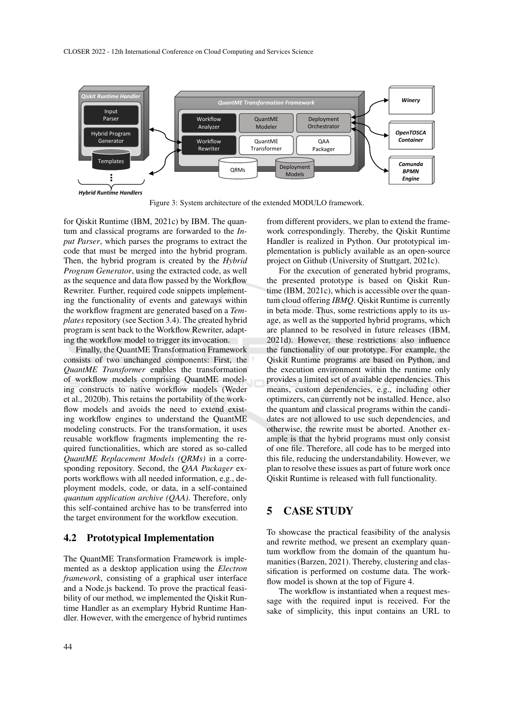CLOSER 2022 - 12th International Conference on Cloud Computing and Services Science



Figure 3: System architecture of the extended MODULO framework.

for Qiskit Runtime (IBM, 2021c) by IBM. The quantum and classical programs are forwarded to the *Input Parser*, which parses the programs to extract the code that must be merged into the hybrid program. Then, the hybrid program is created by the *Hybrid Program Generator*, using the extracted code, as well as the sequence and data flow passed by the Workflow Rewriter. Further, required code snippets implementing the functionality of events and gateways within the workflow fragment are generated based on a *Templates* repository (see Section 3.4). The created hybrid program is sent back to the Workflow Rewriter, adapting the workflow model to trigger its invocation.

Finally, the QuantME Transformation Framework consists of two unchanged components: First, the *QuantME Transformer* enables the transformation of workflow models comprising QuantME modeling constructs to native workflow models (Weder et al., 2020b). This retains the portability of the workflow models and avoids the need to extend existing workflow engines to understand the QuantME modeling constructs. For the transformation, it uses reusable workflow fragments implementing the required functionalities, which are stored as so-called *QuantME Replacement Models (QRMs)* in a corresponding repository. Second, the *QAA Packager* exports workflows with all needed information, e.g., deployment models, code, or data, in a self-contained *quantum application archive (QAA)*. Therefore, only this self-contained archive has to be transferred into the target environment for the workflow execution.

#### 4.2 Prototypical Implementation

The QuantME Transformation Framework is implemented as a desktop application using the *Electron framework*, consisting of a graphical user interface and a Node.js backend. To prove the practical feasibility of our method, we implemented the Qiskit Runtime Handler as an exemplary Hybrid Runtime Handler. However, with the emergence of hybrid runtimes

from different providers, we plan to extend the framework correspondingly. Thereby, the Qiskit Runtime Handler is realized in Python. Our prototypical implementation is publicly available as an open-source project on Github (University of Stuttgart, 2021c).

For the execution of generated hybrid programs, the presented prototype is based on Qiskit Runtime (IBM, 2021c), which is accessible over the quantum cloud offering *IBMQ*. Qiskit Runtime is currently in beta mode. Thus, some restrictions apply to its usage, as well as the supported hybrid programs, which are planned to be resolved in future releases (IBM, 2021d). However, these restrictions also influence the functionality of our prototype. For example, the Qiskit Runtime programs are based on Python, and the execution environment within the runtime only provides a limited set of available dependencies. This means, custom dependencies, e.g., including other optimizers, can currently not be installed. Hence, also the quantum and classical programs within the candidates are not allowed to use such dependencies, and otherwise, the rewrite must be aborted. Another example is that the hybrid programs must only consist of one file. Therefore, all code has to be merged into this file, reducing the understandability. However, we plan to resolve these issues as part of future work once Qiskit Runtime is released with full functionality.

## 5 CASE STUDY

To showcase the practical feasibility of the analysis and rewrite method, we present an exemplary quantum workflow from the domain of the quantum humanities (Barzen, 2021). Thereby, clustering and classification is performed on costume data. The workflow model is shown at the top of Figure 4.

The workflow is instantiated when a request message with the required input is received. For the sake of simplicity, this input contains an URL to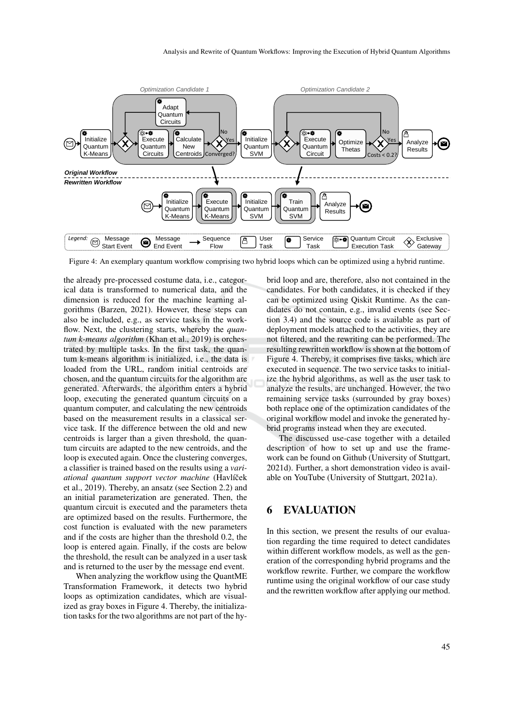

Figure 4: An exemplary quantum workflow comprising two hybrid loops which can be optimized using a hybrid runtime.

the already pre-processed costume data, i.e., categorical data is transformed to numerical data, and the dimension is reduced for the machine learning algorithms (Barzen, 2021). However, these steps can also be included, e.g., as service tasks in the workflow. Next, the clustering starts, whereby the *quantum k-means algorithm* (Khan et al., 2019) is orchestrated by multiple tasks. In the first task, the quantum k-means algorithm is initialized, i.e., the data is loaded from the URL, random initial centroids are chosen, and the quantum circuits for the algorithm are generated. Afterwards, the algorithm enters a hybrid loop, executing the generated quantum circuits on a quantum computer, and calculating the new centroids based on the measurement results in a classical service task. If the difference between the old and new centroids is larger than a given threshold, the quantum circuits are adapted to the new centroids, and the loop is executed again. Once the clustering converges, a classifier is trained based on the results using a *variational quantum support vector machine* (Havlícek ˇ et al., 2019). Thereby, an ansatz (see Section 2.2) and an initial parameterization are generated. Then, the quantum circuit is executed and the parameters theta are optimized based on the results. Furthermore, the cost function is evaluated with the new parameters and if the costs are higher than the threshold 0.2, the loop is entered again. Finally, if the costs are below the threshold, the result can be analyzed in a user task and is returned to the user by the message end event.

When analyzing the workflow using the QuantME Transformation Framework, it detects two hybrid loops as optimization candidates, which are visualized as gray boxes in Figure 4. Thereby, the initialization tasks for the two algorithms are not part of the hybrid loop and are, therefore, also not contained in the candidates. For both candidates, it is checked if they can be optimized using Qiskit Runtime. As the candidates do not contain, e.g., invalid events (see Section 3.4) and the source code is available as part of deployment models attached to the activities, they are not filtered, and the rewriting can be performed. The resulting rewritten workflow is shown at the bottom of Figure 4. Thereby, it comprises five tasks, which are executed in sequence. The two service tasks to initialize the hybrid algorithms, as well as the user task to analyze the results, are unchanged. However, the two remaining service tasks (surrounded by gray boxes) both replace one of the optimization candidates of the original workflow model and invoke the generated hybrid programs instead when they are executed.

The discussed use-case together with a detailed description of how to set up and use the framework can be found on Github (University of Stuttgart, 2021d). Further, a short demonstration video is available on YouTube (University of Stuttgart, 2021a).

# 6 EVALUATION

In this section, we present the results of our evaluation regarding the time required to detect candidates within different workflow models, as well as the generation of the corresponding hybrid programs and the workflow rewrite. Further, we compare the workflow runtime using the original workflow of our case study and the rewritten workflow after applying our method.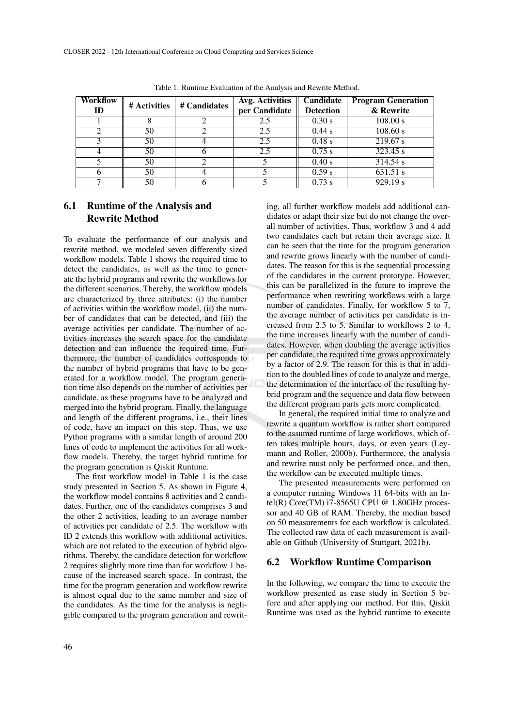| Workflow<br>ID | # Activities | # Candidates | Avg. Activities<br>per Candidate | Candidate<br><b>Detection</b> | <b>Program Generation</b><br>& Rewrite |
|----------------|--------------|--------------|----------------------------------|-------------------------------|----------------------------------------|
|                |              |              | 2.5                              | 0.30 s                        | 108.00 s                               |
|                | 50           |              | 2.5                              | $0.44$ s                      | 108.60 s                               |
|                | 50           |              | 2.5                              | $0.48$ s                      | 219.67 s                               |
|                | 50           |              | 2.5                              | 0.75 s                        | 323.45 s                               |
|                | 50           |              |                                  | 0.40 s                        | 314.54 s                               |
|                | 50           |              |                                  | 0.59 s                        | 631.51 s                               |
|                | 50           |              |                                  | 0.73 s                        | 929.19 s                               |

Table 1: Runtime Evaluation of the Analysis and Rewrite Method.

# 6.1 Runtime of the Analysis and Rewrite Method

To evaluate the performance of our analysis and rewrite method, we modeled seven differently sized workflow models. Table 1 shows the required time to detect the candidates, as well as the time to generate the hybrid programs and rewrite the workflows for the different scenarios. Thereby, the workflow models are characterized by three attributes: (i) the number of activities within the workflow model, (ii) the number of candidates that can be detected, and (iii) the average activities per candidate. The number of activities increases the search space for the candidate detection and can influence the required time. Furthermore, the number of candidates corresponds to the number of hybrid programs that have to be generated for a workflow model. The program generation time also depends on the number of activities per candidate, as these programs have to be analyzed and merged into the hybrid program. Finally, the language and length of the different programs, i.e., their lines of code, have an impact on this step. Thus, we use Python programs with a similar length of around 200 lines of code to implement the activities for all workflow models. Thereby, the target hybrid runtime for the program generation is Qiskit Runtime.

The first workflow model in Table 1 is the case study presented in Section 5. As shown in Figure 4, the workflow model contains 8 activities and 2 candidates. Further, one of the candidates comprises 3 and the other 2 activities, leading to an average number of activities per candidate of 2.5. The workflow with ID 2 extends this workflow with additional activities, which are not related to the execution of hybrid algorithms. Thereby, the candidate detection for workflow 2 requires slightly more time than for workflow 1 because of the increased search space. In contrast, the time for the program generation and workflow rewrite is almost equal due to the same number and size of the candidates. As the time for the analysis is negligible compared to the program generation and rewriting, all further workflow models add additional candidates or adapt their size but do not change the overall number of activities. Thus, workflow 3 and 4 add two candidates each but retain their average size. It can be seen that the time for the program generation and rewrite grows linearly with the number of candidates. The reason for this is the sequential processing of the candidates in the current prototype. However, this can be parallelized in the future to improve the performance when rewriting workflows with a large number of candidates. Finally, for workflow 5 to 7, the average number of activities per candidate is increased from 2.5 to 5. Similar to workflows 2 to 4, the time increases linearly with the number of candidates. However, when doubling the average activities per candidate, the required time grows approximately by a factor of 2.9. The reason for this is that in addition to the doubled lines of code to analyze and merge, the determination of the interface of the resulting hybrid program and the sequence and data flow between the different program parts gets more complicated.

In general, the required initial time to analyze and rewrite a quantum workflow is rather short compared to the assumed runtime of large workflows, which often takes multiple hours, days, or even years (Leymann and Roller, 2000b). Furthermore, the analysis and rewrite must only be performed once, and then, the workflow can be executed multiple times.

The presented measurements were performed on a computer running Windows 11 64-bits with an Intel(R) Core(TM) i7-8565U CPU @ 1.80GHz processor and 40 GB of RAM. Thereby, the median based on 50 measurements for each workflow is calculated. The collected raw data of each measurement is available on Github (University of Stuttgart, 2021b).

#### 6.2 Workflow Runtime Comparison

In the following, we compare the time to execute the workflow presented as case study in Section 5 before and after applying our method. For this, Qiskit Runtime was used as the hybrid runtime to execute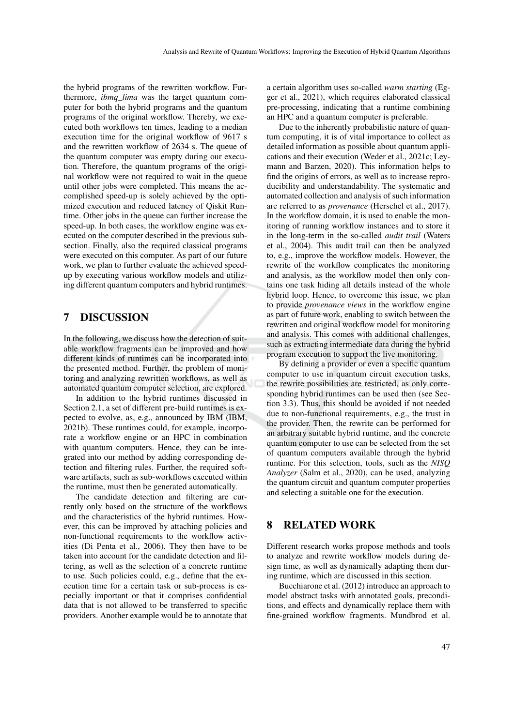the hybrid programs of the rewritten workflow. Furthermore, *ibmq\_lima* was the target quantum computer for both the hybrid programs and the quantum programs of the original workflow. Thereby, we executed both workflows ten times, leading to a median execution time for the original workflow of 9617 s and the rewritten workflow of 2634 s. The queue of the quantum computer was empty during our execution. Therefore, the quantum programs of the original workflow were not required to wait in the queue until other jobs were completed. This means the accomplished speed-up is solely achieved by the optimized execution and reduced latency of Qiskit Runtime. Other jobs in the queue can further increase the speed-up. In both cases, the workflow engine was executed on the computer described in the previous subsection. Finally, also the required classical programs were executed on this computer. As part of our future work, we plan to further evaluate the achieved speedup by executing various workflow models and utilizing different quantum computers and hybrid runtimes.

# 7 DISCUSSION

In the following, we discuss how the detection of suitable workflow fragments can be improved and how different kinds of runtimes can be incorporated into the presented method. Further, the problem of monitoring and analyzing rewritten workflows, as well as automated quantum computer selection, are explored.

In addition to the hybrid runtimes discussed in Section 2.1, a set of different pre-build runtimes is expected to evolve, as, e.g., announced by IBM (IBM, 2021b). These runtimes could, for example, incorporate a workflow engine or an HPC in combination with quantum computers. Hence, they can be integrated into our method by adding corresponding detection and filtering rules. Further, the required software artifacts, such as sub-workflows executed within the runtime, must then be generated automatically.

The candidate detection and filtering are currently only based on the structure of the workflows and the characteristics of the hybrid runtimes. However, this can be improved by attaching policies and non-functional requirements to the workflow activities (Di Penta et al., 2006). They then have to be taken into account for the candidate detection and filtering, as well as the selection of a concrete runtime to use. Such policies could, e.g., define that the execution time for a certain task or sub-process is especially important or that it comprises confidential data that is not allowed to be transferred to specific providers. Another example would be to annotate that a certain algorithm uses so-called *warm starting* (Egger et al., 2021), which requires elaborated classical pre-processing, indicating that a runtime combining an HPC and a quantum computer is preferable.

Due to the inherently probabilistic nature of quantum computing, it is of vital importance to collect as detailed information as possible about quantum applications and their execution (Weder et al., 2021c; Leymann and Barzen, 2020). This information helps to find the origins of errors, as well as to increase reproducibility and understandability. The systematic and automated collection and analysis of such information are referred to as *provenance* (Herschel et al., 2017). In the workflow domain, it is used to enable the monitoring of running workflow instances and to store it in the long-term in the so-called *audit trail* (Waters et al., 2004). This audit trail can then be analyzed to, e.g., improve the workflow models. However, the rewrite of the workflow complicates the monitoring and analysis, as the workflow model then only contains one task hiding all details instead of the whole hybrid loop. Hence, to overcome this issue, we plan to provide *provenance views* in the workflow engine as part of future work, enabling to switch between the rewritten and original workflow model for monitoring and analysis. This comes with additional challenges, such as extracting intermediate data during the hybrid program execution to support the live monitoring.

By defining a provider or even a specific quantum computer to use in quantum circuit execution tasks, the rewrite possibilities are restricted, as only corresponding hybrid runtimes can be used then (see Section 3.3). Thus, this should be avoided if not needed due to non-functional requirements, e.g., the trust in the provider. Then, the rewrite can be performed for an arbitrary suitable hybrid runtime, and the concrete quantum computer to use can be selected from the set of quantum computers available through the hybrid runtime. For this selection, tools, such as the *NISQ Analyzer* (Salm et al., 2020), can be used, analyzing the quantum circuit and quantum computer properties and selecting a suitable one for the execution.

# 8 RELATED WORK

Different research works propose methods and tools to analyze and rewrite workflow models during design time, as well as dynamically adapting them during runtime, which are discussed in this section.

Bucchiarone et al. (2012) introduce an approach to model abstract tasks with annotated goals, preconditions, and effects and dynamically replace them with fine-grained workflow fragments. Mundbrod et al.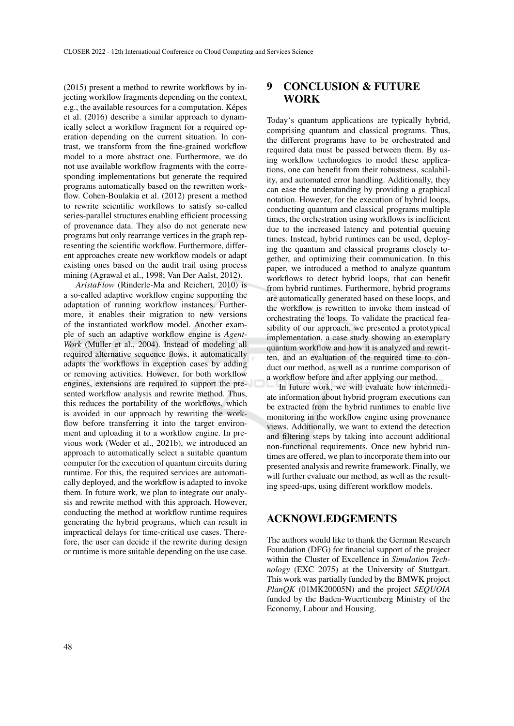(2015) present a method to rewrite workflows by injecting workflow fragments depending on the context, e.g., the available resources for a computation. Képes et al. (2016) describe a similar approach to dynamically select a workflow fragment for a required operation depending on the current situation. In contrast, we transform from the fine-grained workflow model to a more abstract one. Furthermore, we do not use available workflow fragments with the corresponding implementations but generate the required programs automatically based on the rewritten workflow. Cohen-Boulakia et al. (2012) present a method to rewrite scientific workflows to satisfy so-called series-parallel structures enabling efficient processing of provenance data. They also do not generate new programs but only rearrange vertices in the graph representing the scientific workflow. Furthermore, different approaches create new workflow models or adapt existing ones based on the audit trail using process mining (Agrawal et al., 1998; Van Der Aalst, 2012).

*AristaFlow* (Rinderle-Ma and Reichert, 2010) is a so-called adaptive workflow engine supporting the adaptation of running workflow instances. Furthermore, it enables their migration to new versions of the instantiated workflow model. Another example of such an adaptive workflow engine is *Agent-Work* (Müller et al., 2004). Instead of modeling all required alternative sequence flows, it automatically adapts the workflows in exception cases by adding or removing activities. However, for both workflow engines, extensions are required to support the presented workflow analysis and rewrite method. Thus, this reduces the portability of the workflows, which is avoided in our approach by rewriting the workflow before transferring it into the target environment and uploading it to a workflow engine. In previous work (Weder et al., 2021b), we introduced an approach to automatically select a suitable quantum computer for the execution of quantum circuits during runtime. For this, the required services are automatically deployed, and the workflow is adapted to invoke them. In future work, we plan to integrate our analysis and rewrite method with this approach. However, conducting the method at workflow runtime requires generating the hybrid programs, which can result in impractical delays for time-critical use cases. Therefore, the user can decide if the rewrite during design or runtime is more suitable depending on the use case.

# 9 CONCLUSION & FUTURE WORK

Today's quantum applications are typically hybrid, comprising quantum and classical programs. Thus, the different programs have to be orchestrated and required data must be passed between them. By using workflow technologies to model these applications, one can benefit from their robustness, scalability, and automated error handling. Additionally, they can ease the understanding by providing a graphical notation. However, for the execution of hybrid loops, conducting quantum and classical programs multiple times, the orchestration using workflows is inefficient due to the increased latency and potential queuing times. Instead, hybrid runtimes can be used, deploying the quantum and classical programs closely together, and optimizing their communication. In this paper, we introduced a method to analyze quantum workflows to detect hybrid loops, that can benefit from hybrid runtimes. Furthermore, hybrid programs are automatically generated based on these loops, and the workflow is rewritten to invoke them instead of orchestrating the loops. To validate the practical feasibility of our approach, we presented a prototypical implementation, a case study showing an exemplary quantum workflow and how it is analyzed and rewritten, and an evaluation of the required time to conduct our method, as well as a runtime comparison of a workflow before and after applying our method.

In future work, we will evaluate how intermediate information about hybrid program executions can be extracted from the hybrid runtimes to enable live monitoring in the workflow engine using provenance views. Additionally, we want to extend the detection and filtering steps by taking into account additional non-functional requirements. Once new hybrid runtimes are offered, we plan to incorporate them into our presented analysis and rewrite framework. Finally, we will further evaluate our method, as well as the resulting speed-ups, using different workflow models.

## ACKNOWLEDGEMENTS

The authors would like to thank the German Research Foundation (DFG) for financial support of the project within the Cluster of Excellence in *Simulation Technology* (EXC 2075) at the University of Stuttgart. This work was partially funded by the BMWK project *PlanQK* (01MK20005N) and the project *SEQUOIA* funded by the Baden-Wuerttemberg Ministry of the Economy, Labour and Housing.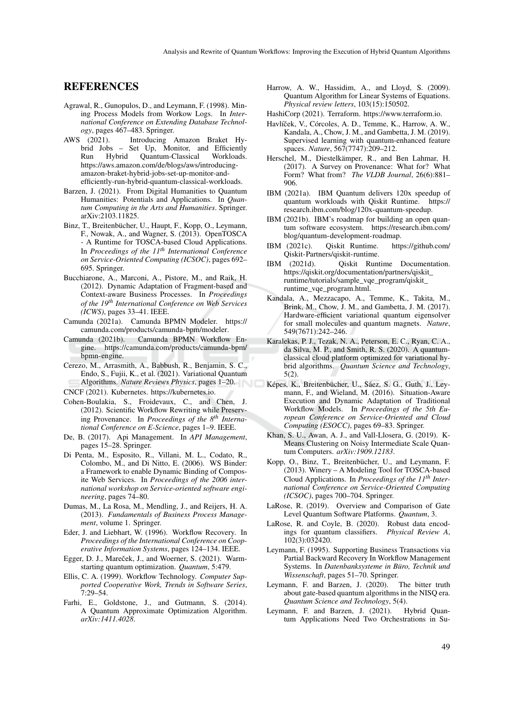## REFERENCES

- Agrawal, R., Gunopulos, D., and Leymann, F. (1998). Mining Process Models from Workow Logs. In *International Conference on Extending Database Technology*, pages 467–483. Springer.
- AWS (2021). Introducing Amazon Braket Hybrid Jobs – Set Up, Monitor, and Efficiently<br>
Run Hybrid Ouantum-Classical Workloads. Run Hybrid Ouantum-Classical https://aws.amazon.com/de/blogs/aws/introducingamazon-braket-hybrid-jobs-set-up-monitor-andefficiently-run-hybrid-quantum-classical-workloads.
- Barzen, J. (2021). From Digital Humanities to Quantum Humanities: Potentials and Applications. In *Quantum Computing in the Arts and Humanities*. Springer. arXiv:2103.11825.
- Binz, T., Breitenbücher, U., Haupt, F., Kopp, O., Leymann, F., Nowak, A., and Wagner, S. (2013). OpenTOSCA - A Runtime for TOSCA-based Cloud Applications. In *Proceedings of the 11th International Conference on Service-Oriented Computing (ICSOC)*, pages 692– 695. Springer.
- Bucchiarone, A., Marconi, A., Pistore, M., and Raik, H. (2012). Dynamic Adaptation of Fragment-based and Context-aware Business Processes. In *Proceedings of the 19th International Conference on Web Services (ICWS)*, pages 33–41. IEEE.
- Camunda (2021a). Camunda BPMN Modeler. https:// camunda.com/products/camunda-bpm/modeler.<br>Camunda (2021b). Camunda BPMN Workflow
- Camunda BPMN Workflow Engine. https://camunda.com/products/camunda-bpm/ bpmn-engine.
- Cerezo, M., Arrasmith, A., Babbush, R., Benjamin, S. C., Endo, S., Fujii, K., et al. (2021). Variational Quantum Algorithms. *Nature Reviews Physics*, pages 1–20.
- CNCF (2021). Kubernetes. https://kubernetes.io.
- Cohen-Boulakia, S., Froidevaux, C., and Chen, J. (2012). Scientific Workflow Rewriting while Preserving Provenance. In *Proceedings of the 8th International Conference on E-Science*, pages 1–9. IEEE.
- De, B. (2017). Api Management. In *API Management*, pages 15–28. Springer.
- Di Penta, M., Esposito, R., Villani, M. L., Codato, R., Colombo, M., and Di Nitto, E. (2006). WS Binder: a Framework to enable Dynamic Binding of Composite Web Services. In *Proceedings of the 2006 international workshop on Service-oriented software engineering*, pages 74–80.
- Dumas, M., La Rosa, M., Mendling, J., and Reijers, H. A. (2013). *Fundamentals of Business Process Management*, volume 1. Springer.
- Eder, J. and Liebhart, W. (1996). Workflow Recovery. In *Proceedings of the International Conference on Cooperative Information Systems*, pages 124–134. IEEE.
- Egger, D. J., Mareček, J., and Woerner, S. (2021). Warmstarting quantum optimization. *Quantum*, 5:479.
- Ellis, C. A. (1999). Workflow Technology. *Computer Supported Cooperative Work, Trends in Software Series*, 7:29–54.
- Farhi, E., Goldstone, J., and Gutmann, S. (2014). A Quantum Approximate Optimization Algorithm. *arXiv:1411.4028*.
- Harrow, A. W., Hassidim, A., and Lloyd, S. (2009). Quantum Algorithm for Linear Systems of Equations. *Physical review letters*, 103(15):150502.
- HashiCorp (2021). Terraform. https://www.terraform.io.
- Havlíček, V., Córcoles, A. D., Temme, K., Harrow, A. W., Kandala, A., Chow, J. M., and Gambetta, J. M. (2019). Supervised learning with quantum-enhanced feature spaces. *Nature*, 567(7747):209–212.
- Herschel, M., Diestelkämper, R., and Ben Lahmar, H. (2017). A Survey on Provenance: What for? What Form? What from? *The VLDB Journal*, 26(6):881– 906.
- IBM (2021a). IBM Quantum delivers 120x speedup of quantum workloads with Qiskit Runtime. https:// research.ibm.com/blog/120x-quantum-speedup.
- IBM (2021b). IBM's roadmap for building an open quantum software ecosystem. https://research.ibm.com/ blog/quantum-development-roadmap.
- IBM (2021c). Qiskit Runtime. https://github.com/ Qiskit-Partners/qiskit-runtime.
- IBM (2021d). Qiskit Runtime Documentation. https://qiskit.org/documentation/partners/qiskit\_ runtime/tutorials/sample\_vqe\_program/qiskit\_ runtime\_vqe\_program.html.
- Kandala, A., Mezzacapo, A., Temme, K., Takita, M., Brink, M., Chow, J. M., and Gambetta, J. M. (2017). Hardware-efficient variational quantum eigensolver for small molecules and quantum magnets. *Nature*, 549(7671):242–246.
- Karalekas, P. J., Tezak, N. A., Peterson, E. C., Ryan, C. A., da Silva, M. P., and Smith, R. S. (2020). A quantumclassical cloud platform optimized for variational hybrid algorithms. *Quantum Science and Technology*, 5(2).
- Képes, K., Breitenbücher, U., Sáez, S. G., Guth, J., Leymann, F., and Wieland, M. (2016). Situation-Aware Execution and Dynamic Adaptation of Traditional Workflow Models. In *Proceedings of the 5th European Conference on Service-Oriented and Cloud Computing (ESOCC)*, pages 69–83. Springer.
- Khan, S. U., Awan, A. J., and Vall-Llosera, G. (2019). K-Means Clustering on Noisy Intermediate Scale Quantum Computers. *arXiv:1909.12183*.
- Kopp, O., Binz, T., Breitenbücher, U., and Leymann, F. (2013). Winery – A Modeling Tool for TOSCA-based Cloud Applications. In *Proceedings of the 11th International Conference on Service-Oriented Computing (ICSOC)*, pages 700–704. Springer.
- LaRose, R. (2019). Overview and Comparison of Gate Level Quantum Software Platforms. *Quantum*, 3.
- LaRose, R. and Coyle, B. (2020). Robust data encodings for quantum classifiers. *Physical Review A*, 102(3):032420.
- Leymann, F. (1995). Supporting Business Transactions via Partial Backward Recovery In Workflow Management Systems. In *Datenbanksysteme in Büro, Technik und Wissenschaft*, pages 51–70. Springer.
- Leymann, F. and Barzen, J. (2020). The bitter truth about gate-based quantum algorithms in the NISQ era. *Quantum Science and Technology*, 5(4).
- Leymann, F. and Barzen, J. (2021). Hybrid Quantum Applications Need Two Orchestrations in Su-